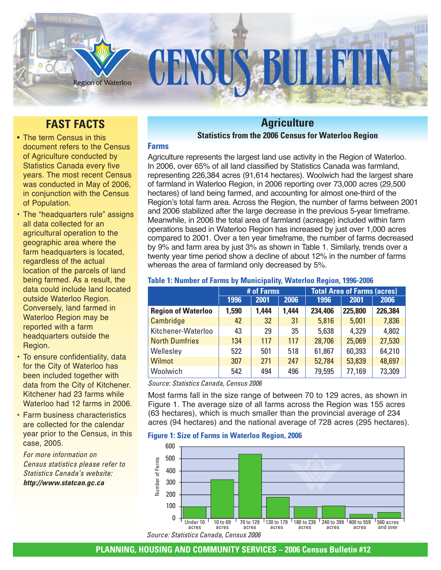

# **FAST FACTS**

- The term Census in this document refers to the Census of Agriculture conducted by Statistics Canada every five years. The most recent Census was conducted in May of 2006, in conjunction with the Census of Population.
- The "headquarters rule" assigns all data collected for an agricultural operation to the geographic area where the farm headquarters is located, regardless of the actual location of the parcels of land being farmed. As a result, the data could include land located outside Waterloo Region. Conversely, land farmed in Waterloo Region may be reported with a farm headquarters outside the Region.
- To ensure confidentiality, data for the City of Waterloo has been included together with data from the City of Kitchener. Kitchener had 23 farms while Waterloo had 12 farms in 2006.
- Farm business characteristics are collected for the calendar year prior to the Census, in this case, 2005.

*For more information on Census statistics please refer to Statistics Canada's website: http://www.statcan.gc.ca*

# **Agriculture**

# **Statistics from the 2006 Census for Waterloo Region**

# **Farms**

Agriculture represents the largest land use activity in the Region of Waterloo. In 2006, over 65% of all land classified by Statistics Canada was farmland, representing 226,384 acres (91,614 hectares). Woolwich had the largest share of farmland in Waterloo Region, in 2006 reporting over 73,000 acres (29,500 hectares) of land being farmed, and accounting for almost one-third of the Region's total farm area. Across the Region, the number of farms between 2001 and 2006 stabilized after the large decrease in the previous 5-year timeframe. Meanwhile, in 2006 the total area of farmland (acreage) included within farm operations based in Waterloo Region has increased by just over 1,000 acres compared to 2001. Over a ten year timeframe, the number of farms decreased by 9% and farm area by just 3% as shown in Table 1. Similarly, trends over a twenty year time period show a decline of about 12% in the number of farms whereas the area of farmland only decreased by 5%.

## **Table 1: Number of Farms by Municipality, Waterloo Region, 1996-2006**

|                           | # of Farms |       |       | <b>Total Area of Farms (acres)</b> |         |         |  |
|---------------------------|------------|-------|-------|------------------------------------|---------|---------|--|
|                           | 1996       | 2001  | 2006  | 1996                               | 2001    | 2006    |  |
| <b>Region of Waterloo</b> | 1,590      | 1,444 | 1,444 | 234,406                            | 225,800 | 226,384 |  |
| Cambridge                 | 42         | 32    | 31    | 5,816                              | 5,001   | 7,836   |  |
| Kitchener-Waterloo        | 43         | 29    | 35    | 5,638                              | 4,329   | 4,802   |  |
| <b>North Dumfries</b>     | 134        | 117   | 117   | 28,706                             | 25,069  | 27,530  |  |
| Wellesley                 | 522        | 501   | 518   | 61,867                             | 60,393  | 64,210  |  |
| <b>Wilmot</b>             | 307        | 271   | 247   | 52,784                             | 53,839  | 48,697  |  |
| Woolwich                  | 542        | 494   | 496   | 79,595                             | 77,169  | 73,309  |  |

*Source: Statistics Canada, Census 2006*

Most farms fall in the size range of between 70 to 129 acres, as shown in Figure 1. The average size of all farms across the Region was 155 acres (63 hectares), which is much smaller than the provincial average of 234 acres (94 hectares) and the national average of 728 acres (295 hectares).

#### **Figure 1: Size of Farms in Waterloo Region, 2006**

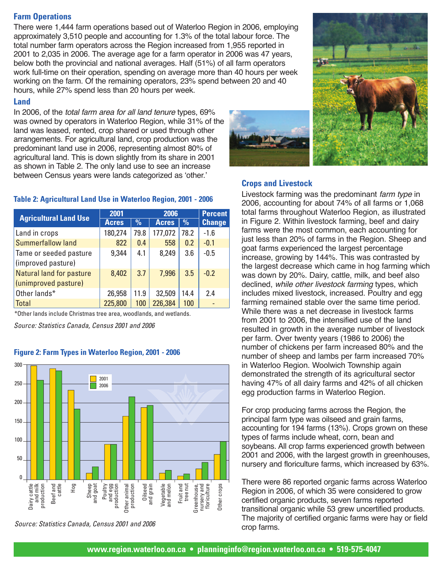# **Farm Operations**

There were 1,444 farm operations based out of Waterloo Region in 2006, employing approximately 3,510 people and accounting for 1.3% of the total labour force. The total number farm operators across the Region increased from 1,955 reported in 2001 to 2,035 in 2006. The average age for a farm operator in 2006 was 47 years, below both the provincial and national averages. Half (51%) of all farm operators work full-time on their operation, spending on average more than 40 hours per week working on the farm. Of the remaining operators, 23% spend between 20 and 40 hours, while 27% spend less than 20 hours per week.

## **Land**

In 2006, of the total farm area for all land tenure types, 69% was owned by operators in Waterloo Region, while 31% of the land was leased, rented, crop shared or used through other arrangements. For agricultural land, crop production was the predominant land use in 2006, representing almost 80% of agricultural land. This is down slightly from its share in 2001 as shown in Table 2. The only land use to see an increase between Census years were lands categorized as 'other.'

#### **Table 2: Agricultural Land Use in Waterloo Region, 2001 - 2006**

| <b>Agricultural Land Use</b>    | 2001         |      | 2006         |               | <b>Percent</b> |
|---------------------------------|--------------|------|--------------|---------------|----------------|
|                                 | <b>Acres</b> | $\%$ | <b>Acres</b> | $\frac{0}{0}$ | <b>Change</b>  |
| Land in crops                   | 180,274      | 79.8 | 177,072      | 78.2          | $-1.6$         |
| <b>Summerfallow land</b>        | 822          | 0.4  | 558          | 0.2           | $-0.1$         |
| Tame or seeded pasture          | 9,344        | 4.1  | 8,249        | 3.6           | $-0.5$         |
| (improved pasture)              |              |      |              |               |                |
| <b>Natural land for pasture</b> | 8,402        | 3.7  | 7,996        | 3.5           | $-0.2$         |
| (unimproved pasture)            |              |      |              |               |                |
| Other lands*                    | 26,958       | 11.9 | 32,509       | 14.4          | 24             |
| <b>Total</b>                    | 225,800      | 100  | 226,384      | 100           |                |

\*Other lands include Christmas tree area, woodlands, and wetlands.

*Source: Statistics Canada, Census 2001 and 2006*

#### **Figure 2: Farm Types in Waterloo Region, 2001 - 2006**



*Source: Statistics Canada, Census 2001 and 2006*





# **Crops and Livestock**

Livestock farming was the predominant farm type in 2006, accounting for about 74% of all farms or 1,068 total farms throughout Waterloo Region, as illustrated in Figure 2. Within livestock farming, beef and dairy farms were the most common, each accounting for just less than 20% of farms in the Region. Sheep and goat farms experienced the largest percentage increase, growing by 144%. This was contrasted by the largest decrease which came in hog farming which was down by 20%. Dairy, cattle, milk, and beef also declined, while other livestock farming types, which includes mixed livestock, increased. Poultry and egg farming remained stable over the same time period. While there was a net decrease in livestock farms from 2001 to 2006, the intensified use of the land resulted in growth in the average number of livestock per farm. Over twenty years (1986 to 2006) the number of chickens per farm increased 80% and the number of sheep and lambs per farm increased 70% in Waterloo Region. Woolwich Township again demonstrated the strength of its agricultural sector having 47% of all dairy farms and 42% of all chicken egg production farms in Waterloo Region.

For crop producing farms across the Region, the principal farm type was oilseed and grain farms, accounting for 194 farms (13%). Crops grown on these types of farms include wheat, corn, bean and soybeans. All crop farms experienced growth between 2001 and 2006, with the largest growth in greenhouses, nursery and floriculture farms, which increased by 63%.

There were 86 reported organic farms across Waterloo Region in 2006, of which 35 were considered to grow certified organic products, seven farms reported transitional organic while 53 grew uncertified products. The majority of certified organic farms were hay or field crop farms.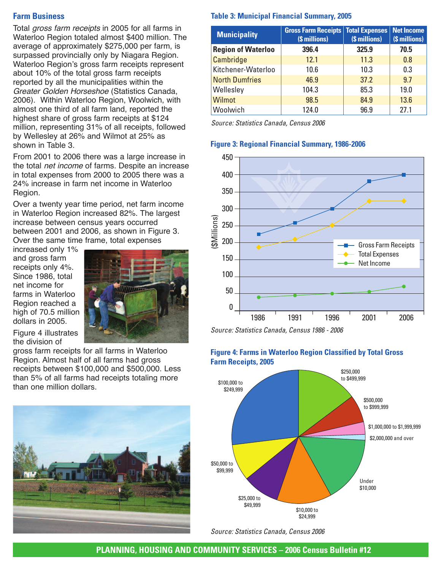## **Farm Business**

Total gross farm receipts in 2005 for all farms in Waterloo Region totaled almost \$400 million. The average of approximately \$275,000 per farm, is surpassed provincially only by Niagara Region. Waterloo Region's gross farm receipts represent about 10% of the total gross farm receipts reported by all the municipalities within the Greater Golden Horseshoe (Statistics Canada, 2006). Within Waterloo Region, Woolwich, with almost one third of all farm land, reported the highest share of gross farm receipts at \$124 million, representing 31% of all receipts, followed by Wellesley at 26% and Wilmot at 25% as shown in Table 3.

From 2001 to 2006 there was a large increase in the total net income of farms. Despite an increase in total expenses from 2000 to 2005 there was a 24% increase in farm net income in Waterloo Region.

Over a twenty year time period, net farm income in Waterloo Region increased 82%. The largest increase between census years occurred between 2001 and 2006, as shown in Figure 3. Over the same time frame, total expenses

increased only 1% and gross farm receipts only 4%. Since 1986, total net income for farms in Waterloo Region reached a high of 70.5 million dollars in 2005.



Figure 4 illustrates the division of

gross farm receipts for all farms in Waterloo Region. Almost half of all farms had gross receipts between \$100,000 and \$500,000. Less than 5% of all farms had receipts totaling more than one million dollars.



## **Table 3: Municipal Financial Summary, 2005**

| <b>Municipality</b>       | <b>Gross Farm Receipts   Total Expenses</b><br>(\$ millions) | (\$ millions) | Net Income<br>(\$ millions) |
|---------------------------|--------------------------------------------------------------|---------------|-----------------------------|
| <b>Region of Waterloo</b> | 396.4                                                        | 325.9         | 70.5                        |
| Cambridge                 | 12.1                                                         | 11.3          | 0.8                         |
| Kitchener-Waterloo        | 10.6                                                         | 10.3          | 0.3                         |
| <b>North Dumfries</b>     | 46.9                                                         | 37.2          | 9.7                         |
| Wellesley                 | 104.3                                                        | 85.3          | 19.0                        |
| Wilmot                    | 98.5                                                         | 84.9          | 13.6                        |
| Woolwich                  | 124.0                                                        | 96.9          | 27.1                        |

*Source: Statistics Canada, Census 2006*

#### **Figure 3: Regional Financial Summary, 1986-2006**



*Source: Statistics Canada, Census 1986 - 2006*

## **Figure 4: Farms in Waterloo Region Classified by Total Gross Farm Receipts, 2005**



*Source: Statistics Canada, Census 2006*